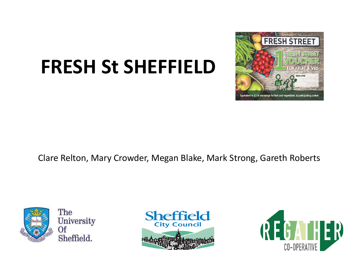# **FRESH St SHEFFIELD**



Clare Relton, Mary Crowder, Megan Blake, Mark Strong, Gareth Roberts



The University 0f Sheffield.



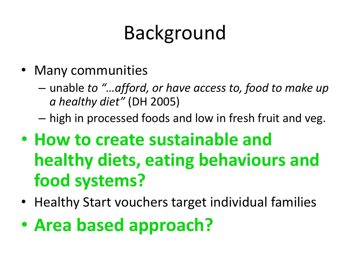# Background

- Many communities
	- unable *to "…afford, or have access to, food to make up a healthy diet"* (DH 2005)
	- high in processed foods and low in fresh fruit and veg.
- **How to create sustainable and healthy diets, eating behaviours and food systems?**
- Healthy Start vouchers target individual families
- **Area based approach?**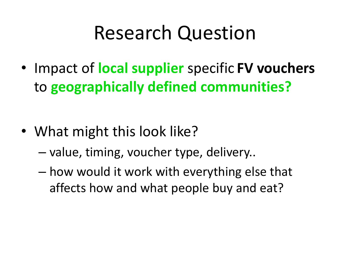#### Research Question

• Impact of **local supplier** specific **FV vouchers**  to **geographically defined communities?**

- What might this look like?
	- value, timing, voucher type, delivery..
	- how would it work with everything else that affects how and what people buy and eat?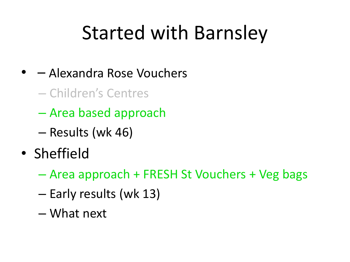## Started with Barnsley

- – Alexandra Rose Vouchers
	- Children's Centres
	- Area based approach
	- Results (wk 46)
- Sheffield
	- Area approach + FRESH St Vouchers + Veg bags
	- Early results (wk 13)
	- What next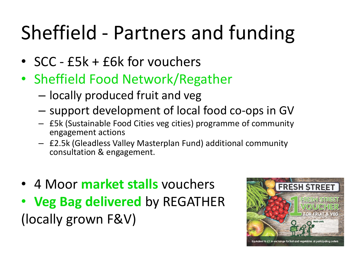# Sheffield - Partners and funding

- SCC £5k + £6k for vouchers
- Sheffield Food Network/Regather
	- locally produced fruit and veg
	- support development of local food co-ops in GV
	- £5k (Sustainable Food Cities veg cities) programme of community engagement actions
	- £2.5k (Gleadless Valley Masterplan Fund) additional community consultation & engagement.
- 4 Moor **market stalls** vouchers
- **Veg Bag delivered** by REGATHER (locally grown F&V)

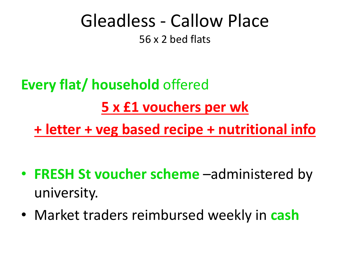#### Gleadless - Callow Place 56 x 2 bed flats

#### **Every flat/ household** offered **5 x £1 vouchers per wk + letter + veg based recipe + nutritional info**

- **FRESH St voucher scheme** –administered by university.
- Market traders reimbursed weekly in **cash**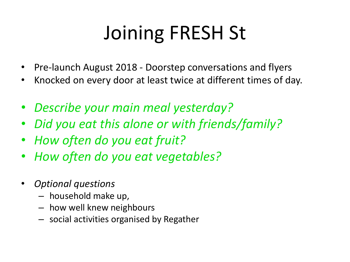# Joining FRESH St

- Pre-launch August 2018 Doorstep conversations and flyers
- Knocked on every door at least twice at different times of day.
- *Describe your main meal yesterday?*
- *Did you eat this alone or with friends/family?*
- *How often do you eat fruit?*
- *How often do you eat vegetables?*
- *Optional questions*
	- household make up,
	- how well knew neighbours
	- social activities organised by Regather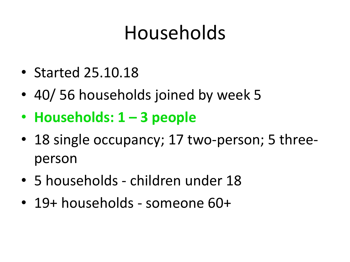## Households

- Started 25.10.18
- 40/ 56 households joined by week 5
- **Households: 1 – 3 people**
- 18 single occupancy; 17 two-person; 5 threeperson
- 5 households children under 18
- 19+ households someone 60+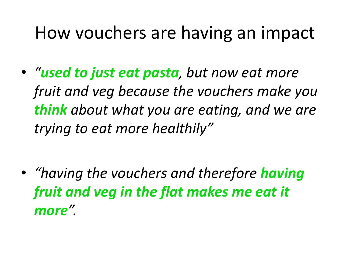#### How vouchers are having an impact

• *"used to just eat pasta, but now eat more fruit and veg because the vouchers make you think about what you are eating, and we are trying to eat more healthily"*

• *"having the vouchers and therefore having fruit and veg in the flat makes me eat it more".*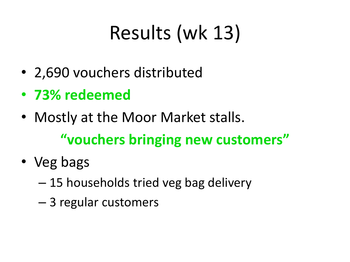# Results (wk 13)

- 2,690 vouchers distributed
- **73% redeemed**
- Mostly at the Moor Market stalls. **"vouchers bringing new customers"**
- Veg bags
	- 15 households tried veg bag delivery
	- 3 regular customers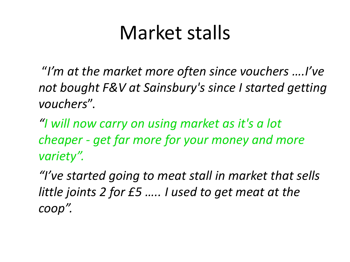#### Market stalls

"*I'm at the market more often since vouchers ….I've not bought F&V at Sainsbury's since I started getting vouchers*".

*"I will now carry on using market as it's a lot cheaper - get far more for your money and more variety".*

*"I've started going to meat stall in market that sells little joints 2 for £5 ….. I used to get meat at the coop".*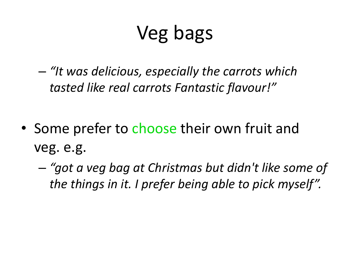# Veg bags

– *"It was delicious, especially the carrots which tasted like real carrots Fantastic flavour!"*

- Some prefer to choose their own fruit and veg. e.g.
	- *"got a veg bag at Christmas but didn't like some of the things in it. I prefer being able to pick myself".*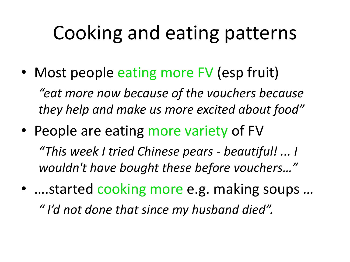## Cooking and eating patterns

- Most people eating more FV (esp fruit) *"eat more now because of the vouchers because they help and make us more excited about food"*
- People are eating more variety of FV *"This week I tried Chinese pears - beautiful! ... I wouldn't have bought these before vouchers…"*
- ….started cooking more e.g. making soups *… " I'd not done that since my husband died".*